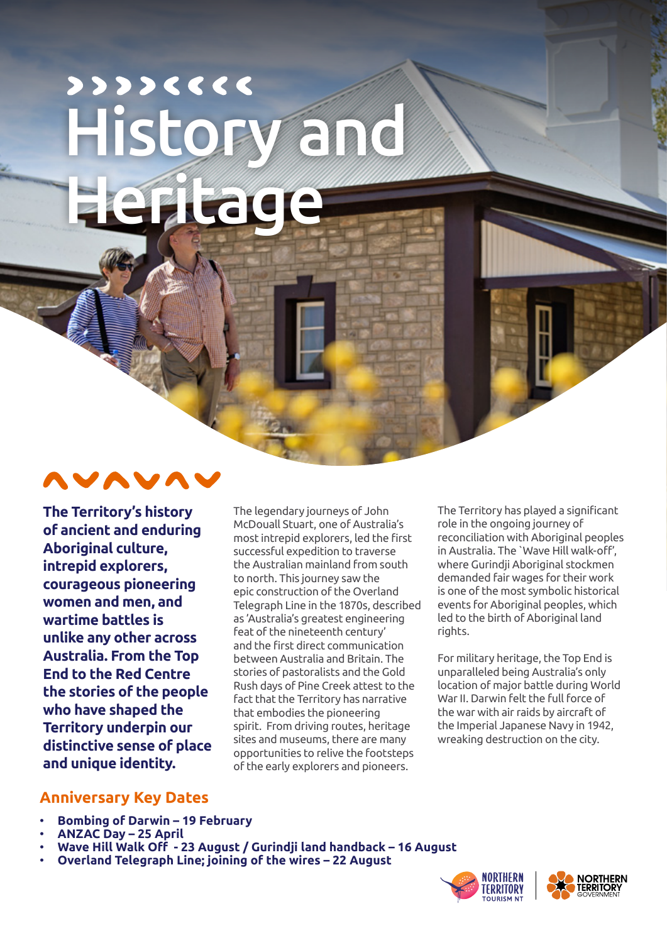# $22226666$ **History and Heritage**



**The Territory's history of ancient and enduring Aboriginal culture, intrepid explorers, courageous pioneering women and men, and wartime battles is unlike any other across Australia. From the Top End to the Red Centre the stories of the people who have shaped the Territory underpin our distinctive sense of place and unique identity.**

The legendary journeys of John McDouall Stuart, one of Australia's most intrepid explorers, led the first successful expedition to traverse the Australian mainland from south to north. This journey saw the epic construction of the Overland Telegraph Line in the 1870s, described as 'Australia's greatest engineering feat of the nineteenth century' and the first direct communication between Australia and Britain. The stories of pastoralists and the Gold Rush days of Pine Creek attest to the fact that the Territory has narrative that embodies the pioneering spirit. From driving routes, heritage sites and museums, there are many opportunities to relive the footsteps of the early explorers and pioneers.

The Territory has played a significant role in the ongoing journey of reconciliation with Aboriginal peoples in Australia. The `Wave Hill walk-off', where Gurindji Aboriginal stockmen demanded fair wages for their work is one of the most symbolic historical events for Aboriginal peoples, which led to the birth of Aboriginal land rights.

For military heritage, the Top End is unparalleled being Australia's only location of major battle during World War II. Darwin felt the full force of the war with air raids by aircraft of the Imperial Japanese Navy in 1942, wreaking destruction on the city.

#### **Anniversary Key Dates**

- **Bombing of Darwin 19 February**
- **ANZAC Day 25 April**
- **Wave Hill Walk Off 23 August / Gurindji land handback 16 August**
- **Overland Telegraph Line; joining of the wires 22 August**